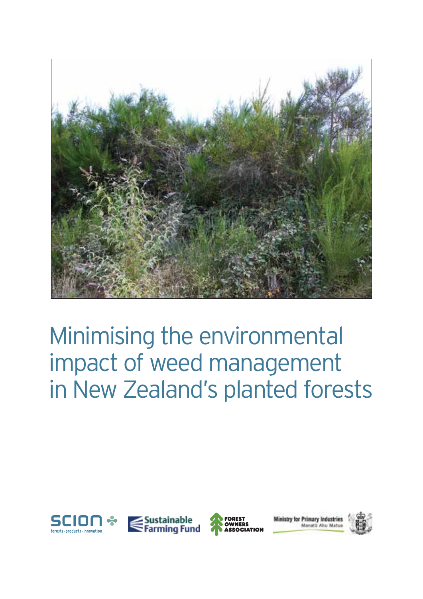

# Minimising the environmental impact of weed management in New Zealand's planted forests







istry for Primary Industries Manati) Abu Mates

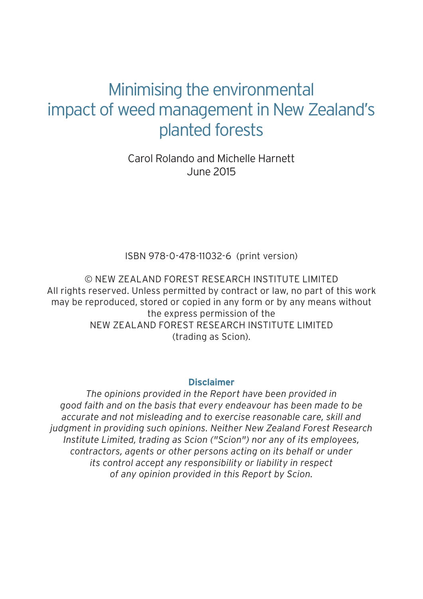### Minimising the environmental impact of weed management in New Zealand's planted forests

Carol Rolando and Michelle Harnett June 2015

ISBN 978-0-478-11032-6 (print version)

© NEW ZEALAND FOREST RESEARCH INSTITUTE LIMITED All rights reserved. Unless permitted by contract or law, no part of this work may be reproduced, stored or copied in any form or by any means without the express permission of the NEW ZEALAND FOREST RESEARCH INSTITUTE LIMITED (trading as Scion).

#### **Disclaimer**

*The opinions provided in the Report have been provided in good faith and on the basis that every endeavour has been made to be accurate and not misleading and to exercise reasonable care, skill and judgment in providing such opinions. Neither New Zealand Forest Research Institute Limited, trading as Scion ("Scion") nor any of its employees, contractors, agents or other persons acting on its behalf or under its control accept any responsibility or liability in respect of any opinion provided in this Report by Scion.*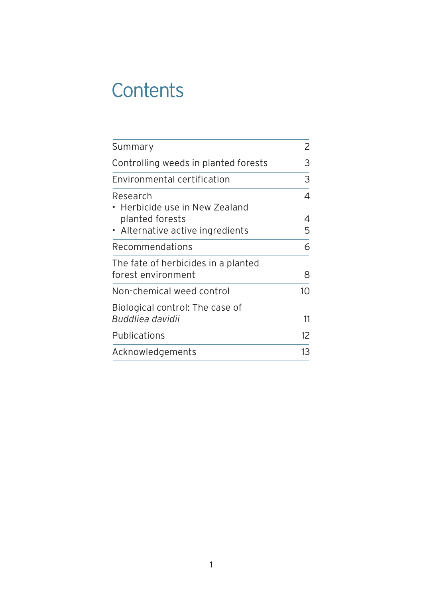### **Contents**

| Summary                                                   | 2  |
|-----------------------------------------------------------|----|
| Controlling weeds in planted forests                      |    |
| Environmental certification                               | 3  |
| Research<br>• Herbicide use in New Zealand                | 4  |
| planted forests                                           | 4  |
| • Alternative active ingredients                          | 5  |
| Recommendations                                           | 6  |
| The fate of herbicides in a planted<br>forest environment | 8  |
| Non-chemical weed control                                 | 10 |
| Biological control: The case of<br>Buddliea davidii       | 11 |
| Publications                                              | 12 |
| Acknowledgements                                          | 13 |
|                                                           |    |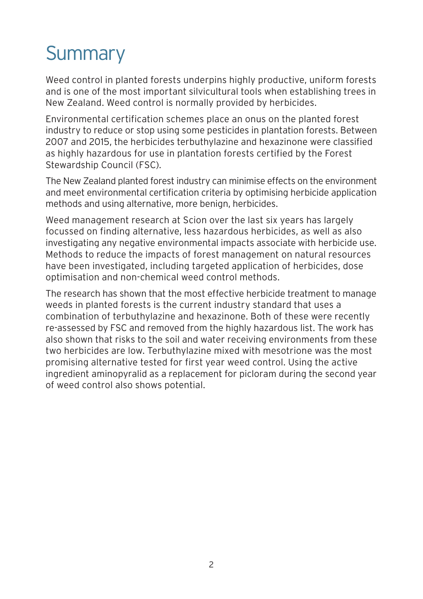# **Summary**

Weed control in planted forests underpins highly productive, uniform forests and is one of the most important silvicultural tools when establishing trees in New Zealand. Weed control is normally provided by herbicides.

Environmental certification schemes place an onus on the planted forest industry to reduce or stop using some pesticides in plantation forests. Between 2007 and 2015, the herbicides terbuthylazine and hexazinone were classified as highly hazardous for use in plantation forests certified by the Forest Stewardship Council (FSC).

The New Zealand planted forest industry can minimise effects on the environment and meet environmental certification criteria by optimising herbicide application methods and using alternative, more benign, herbicides.

Weed management research at Scion over the last six years has largely focussed on finding alternative, less hazardous herbicides, as well as also investigating any negative environmental impacts associate with herbicide use. Methods to reduce the impacts of forest management on natural resources have been investigated, including targeted application of herbicides, dose optimisation and non-chemical weed control methods.

The research has shown that the most effective herbicide treatment to manage weeds in planted forests is the current industry standard that uses a combination of terbuthylazine and hexazinone. Both of these were recently re-assessed by FSC and removed from the highly hazardous list. The work has also shown that risks to the soil and water receiving environments from these two herbicides are low. Terbuthylazine mixed with mesotrione was the most promising alternative tested for first year weed control. Using the active ingredient aminopyralid as a replacement for picloram during the second year of weed control also shows potential.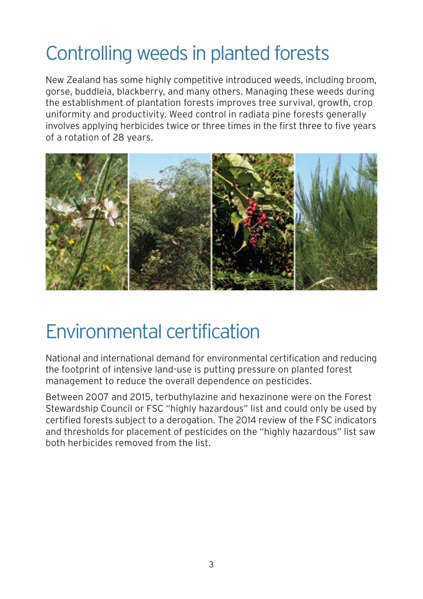## Controlling weeds in planted forests

New Zealand has some highly competitive introduced weeds, including broom, gorse, buddleia, blackberry, and many others. Managing these weeds during the establishment of plantation forests improves tree survival, growth, crop uniformity and productivity. Weed control in radiata pine forests generally involves applying herbicides twice or three times in the first three to five years of a rotation of 28 years.



### Environmental certification

National and international demand for environmental certification and reducing the footprint of intensive land-use is putting pressure on planted forest management to reduce the overall dependence on pesticides.

Between 2007 and 2015, terbuthylazine and hexazinone were on the Forest Stewardship Council or FSC "highly hazardous" list and could only be used by certified forests subject to a derogation. The 2014 review of the FSC indicators and thresholds for placement of pesticides on the "highly hazardous" list saw both herbicides removed from the list.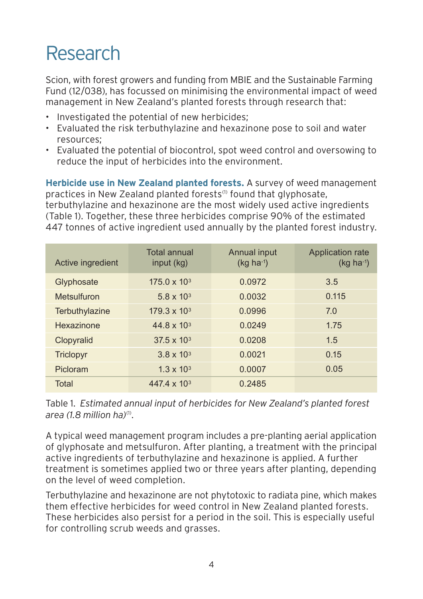### Research

Scion, with forest growers and funding from MBIE and the Sustainable Farming Fund (12/038), has focussed on minimising the environmental impact of weed management in New Zealand's planted forests through research that:

- Investigated the potential of new herbicides;
- Evaluated the risk terbuthylazine and hexazinone pose to soil and water resources;
- Evaluated the potential of biocontrol, spot weed control and oversowing to reduce the input of herbicides into the environment.

**Herbicide use in New Zealand planted forests.** A survey of weed management practices in New Zealand planted forests<sup>(1)</sup> found that glyphosate, terbuthylazine and hexazinone are the most widely used active ingredients (Table 1). Together, these three herbicides comprise 90% of the estimated 447 tonnes of active ingredient used annually by the planted forest industry.

| Active ingredient | <b>Total annual</b><br>input (kg) | Annual input<br>$(kq ha^{-1})$ | <b>Application rate</b><br>$(kq ha^{-1})$ |
|-------------------|-----------------------------------|--------------------------------|-------------------------------------------|
| Glyphosate        | $175.0 \times 10^{3}$             | 0.0972                         | 3.5                                       |
| Metsulfuron       | $5.8 \times 10^{3}$               | 0.0032                         | 0.115                                     |
| Terbuthylazine    | $179.3 \times 10^{3}$             | 0.0996                         | 7.0                                       |
| <b>Hexazinone</b> | $44.8 \times 10^{3}$              | 0.0249                         | 1.75                                      |
| Clopyralid        | $37.5 \times 10^{3}$              | 0.0208                         | 1.5                                       |
| <b>Triclopyr</b>  | $3.8 \times 10^{3}$               | 0.0021                         | 0.15                                      |
| Picloram          | $1.3 \times 10^{3}$               | 0.0007                         | 0.05                                      |
| Total             | 447.4 x 10 <sup>3</sup>           | 0.2485                         |                                           |

Table 1. *Estimated annual input of herbicides for New Zealand's planted forest area (1.8 million ha)*(1).

A typical weed management program includes a pre-planting aerial application of glyphosate and metsulfuron. After planting, a treatment with the principal active ingredients of terbuthylazine and hexazinone is applied. A further treatment is sometimes applied two or three years after planting, depending on the level of weed completion.

Terbuthylazine and hexazinone are not phytotoxic to radiata pine, which makes them effective herbicides for weed control in New Zealand planted forests. These herbicides also persist for a period in the soil. This is especially useful for controlling scrub weeds and grasses.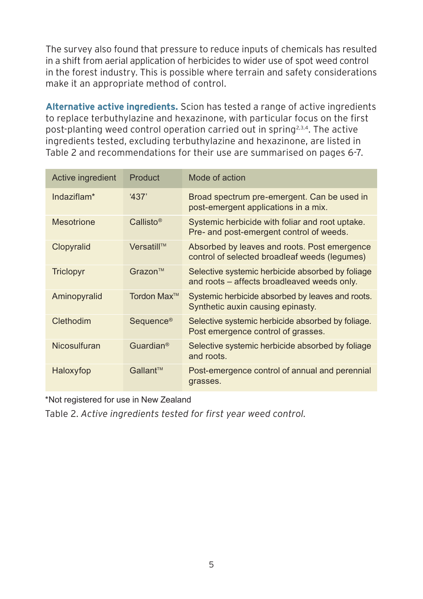The survey also found that pressure to reduce inputs of chemicals has resulted in a shift from aerial application of herbicides to wider use of spot weed control in the forest industry. This is possible where terrain and safety considerations make it an appropriate method of control.

**Alternative active ingredients.** Scion has tested a range of active ingredients to replace terbuthylazine and hexazinone, with particular focus on the first post-planting weed control operation carried out in spring2,3,4. The active ingredients tested, excluding terbuthylazine and hexazinone, are listed in Table 2 and recommendations for their use are summarised on pages 6-7.

| Active ingredient       | Product                 | Mode of action                                                                                  |
|-------------------------|-------------------------|-------------------------------------------------------------------------------------------------|
| Indaziflam <sup>*</sup> | 437'                    | Broad spectrum pre-emergent. Can be used in<br>post-emergent applications in a mix.             |
| <b>Mesotrione</b>       | Callisto <sup>®</sup>   | Systemic herbicide with foliar and root uptake.<br>Pre- and post-emergent control of weeds.     |
| Clopyralid              | Versatill™              | Absorbed by leaves and roots. Post emergence<br>control of selected broadleaf weeds (lequmes)   |
| Triclopyr               | Grazon <sup>TM</sup>    | Selective systemic herbicide absorbed by foliage<br>and roots – affects broadleaved weeds only. |
| Aminopyralid            | Tordon Max <sup>™</sup> | Systemic herbicide absorbed by leaves and roots.<br>Synthetic auxin causing epinasty.           |
| Clethodim               | Sequence <sup>®</sup>   | Selective systemic herbicide absorbed by foliage.<br>Post emergence control of grasses.         |
| Nicosulfuran            | Guardian <sup>®</sup>   | Selective systemic herbicide absorbed by foliage<br>and roots.                                  |
| Haloxyfop               | Gallant™                | Post-emergence control of annual and perennial<br>grasses.                                      |

\*Not registered for use in New Zealand

Table 2. *Active ingredients tested for first year weed control.*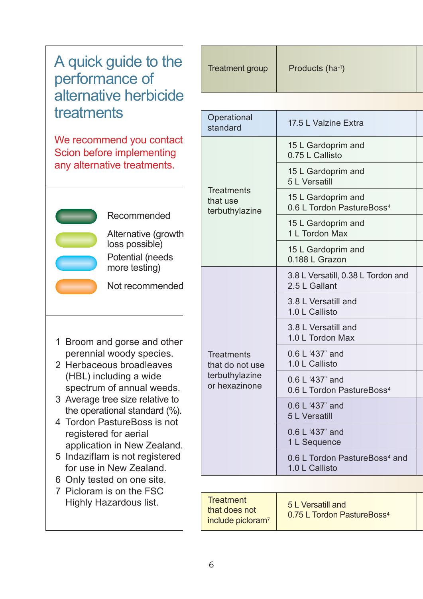### A quick guide to the performance of alternative herbicide treatments

We recommend you contact Scion before implementing any alternative treatments.



Recommended

Alternative (growth loss possible)

Potential (needs more testing)

Not recommended

- 1 Broom and gorse and other perennial woody species.
- 2 Herbaceous broadleaves (HBL) including a wide spectrum of annual weeds.
- 3 Average tree size relative to the operational standard (%).
- 4 Tordon PastureBoss is not registered for aerial application in New Zealand.
- 5 Indaziflam is not registered for use in New Zealand.
- 6 Only tested on one site.
- 7 Picloram is on the FSC Highly Hazardous list.

| Treatment group | Products (ha <sup>-1</sup> ) |  |
|-----------------|------------------------------|--|
|                 |                              |  |

| Operational<br>standard                                                 | 17.5 L Valzine Extra                                        |  |  |
|-------------------------------------------------------------------------|-------------------------------------------------------------|--|--|
| <b>Treatments</b><br>that use<br>terbuthylazine                         | 15 L Gardoprim and<br>0.75 L Callisto                       |  |  |
|                                                                         | 15 L Gardoprim and<br>5 L Versatill                         |  |  |
|                                                                         | 15 L Gardoprim and<br>0.6 L Tordon PastureBoss <sup>4</sup> |  |  |
|                                                                         | 15 L Gardoprim and<br>1 L Tordon Max                        |  |  |
|                                                                         | 15 L Gardoprim and<br>0.188 L Grazon                        |  |  |
| <b>Treatments</b><br>that do not use<br>terbuthylazine<br>or hexazinone | 3.8 L Versatill, 0.38 L Tordon and<br>2.5 L Gallant         |  |  |
|                                                                         | 3.8 L Versatill and<br>1.0 L Callisto                       |  |  |
|                                                                         | 3.8 L Versatill and<br>1.0 L Tordon Max                     |  |  |
|                                                                         | 0.6 L '437' and<br>1.0 L Callisto                           |  |  |
|                                                                         | $0.6 L' 437'$ and<br>0.6 L Tordon PastureBoss <sup>4</sup>  |  |  |
|                                                                         | 0.6 L '437' and<br>5 L Versatill                            |  |  |
|                                                                         | 0.6 L '437' and<br>1 L Sequence                             |  |  |
|                                                                         | 0.6 L Tordon PastureBoss <sup>4</sup> and<br>1.0 L Callisto |  |  |

| <b>Treatment</b><br>that does not<br>include picloram <sup>7</sup> | 5 L Versatill and<br>0.75 L Tordon PastureBoss <sup>4</sup> |  |
|--------------------------------------------------------------------|-------------------------------------------------------------|--|
|--------------------------------------------------------------------|-------------------------------------------------------------|--|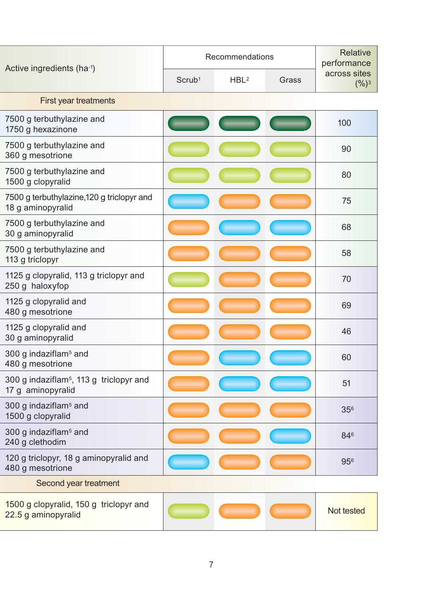| Active ingredients (ha-1)                                                | Recommendations    |                  |       | <b>Relative</b><br>performance |
|--------------------------------------------------------------------------|--------------------|------------------|-------|--------------------------------|
|                                                                          | Scrub <sup>1</sup> | HBL <sup>2</sup> | Grass | across sites<br>$(%)^3$        |
| First year treatments                                                    |                    |                  |       |                                |
| 7500 g terbuthylazine and<br>1750 g hexazinone                           |                    |                  |       | 100                            |
| 7500 g terbuthylazine and<br>360 g mesotrione                            |                    |                  |       | 90                             |
| 7500 g terbuthylazine and<br>1500 g clopyralid                           |                    |                  |       | 80                             |
| 7500 g terbuthylazine, 120 g triclopyr and<br>18 g aminopyralid          |                    |                  |       | 75                             |
| 7500 g terbuthylazine and<br>30 g aminopyralid                           |                    |                  |       | 68                             |
| 7500 g terbuthylazine and<br>113 g triclopyr                             |                    |                  |       | 58                             |
| 1125 g clopyralid, 113 g triclopyr and<br>250 g haloxyfop                |                    |                  |       | 70                             |
| 1125 g clopyralid and<br>480 g mesotrione                                |                    |                  |       | 69                             |
| 1125 g clopyralid and<br>30 g aminopyralid                               |                    |                  |       | 46                             |
| 300 g indaziflam <sup>5</sup> and<br>480 g mesotrione                    |                    |                  |       | 60                             |
| 300 g indaziflam <sup>5</sup> , 113 g triclopyr and<br>17 g aminopyralid |                    |                  |       | 51                             |
| 300 g indaziflam <sup>5</sup> and<br>1500 g clopyralid                   |                    |                  |       | 356                            |
| 300 g indaziflam <sup>5</sup> and<br>240 g clethodim                     |                    |                  |       | 846                            |
| 120 g triclopyr, 18 g aminopyralid and<br>480 g mesotrione               |                    |                  |       | 956                            |
| Second year treatment                                                    |                    |                  |       |                                |
| 1500 g clopyralid, 150 g triclopyr and<br>22.5 g aminopyralid            |                    |                  |       | Not tested                     |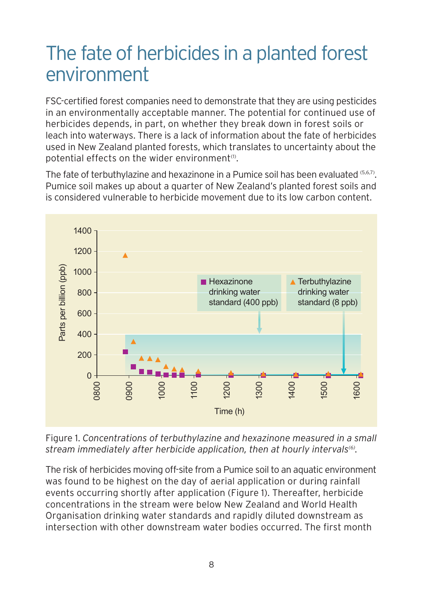### The fate of herbicides in a planted forest environment

FSC-certified forest companies need to demonstrate that they are using pesticides in an environmentally acceptable manner. The potential for continued use of herbicides depends, in part, on whether they break down in forest soils or leach into waterways. There is a lack of information about the fate of herbicides used in New Zealand planted forests, which translates to uncertainty about the potential effects on the wider environment<sup>(1)</sup>.

The fate of terbuthylazine and hexazinone in a Pumice soil has been evaluated  $(5,6,7)$ . Pumice soil makes up about a quarter of New Zealand's planted forest soils and is considered vulnerable to herbicide movement due to its low carbon content.



Figure 1. *Concentrations of terbuthylazine and hexazinone measured in a small* stream immediately after herbicide application, then at hourly intervals<sup>(6)</sup>.

The risk of herbicides moving off-site from a Pumice soil to an aquatic environment was found to be highest on the day of aerial application or during rainfall events occurring shortly after application (Figure 1). Thereafter, herbicide concentrations in the stream were below New Zealand and World Health Organisation drinking water standards and rapidly diluted downstream as intersection with other downstream water bodies occurred. The first month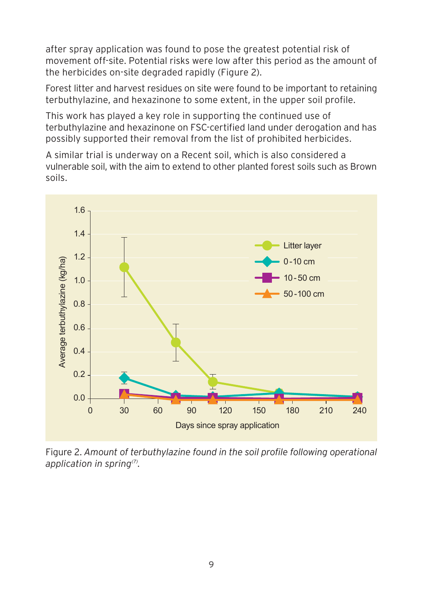after spray application was found to pose the greatest potential risk of movement off-site. Potential risks were low after this period as the amount of the herbicides on-site degraded rapidly (Figure 2).

Forest litter and harvest residues on site were found to be important to retaining terbuthylazine, and hexazinone to some extent, in the upper soil profile.

This work has played a key role in supporting the continued use of terbuthylazine and hexazinone on FSC-certified land under derogation and has possibly supported their removal from the list of prohibited herbicides.

A similar trial is underway on a Recent soil, which is also considered a vulnerable soil, with the aim to extend to other planted forest soils such as Brown soils.



Figure 2. *Amount of terbuthylazine found in the soil profile following operational application in spring(7).*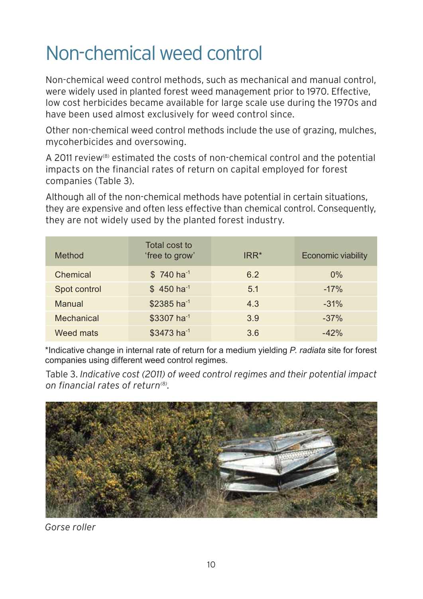## Non-chemical weed control

Non-chemical weed control methods, such as mechanical and manual control, were widely used in planted forest weed management prior to 1970. Effective, low cost herbicides became available for large scale use during the 1970s and have been used almost exclusively for weed control since.

Other non-chemical weed control methods include the use of grazing, mulches, mycoherbicides and oversowing.

A 2011 review<sup>(8)</sup> estimated the costs of non-chemical control and the potential impacts on the financial rates of return on capital employed for forest companies (Table 3).

Although all of the non-chemical methods have potential in certain situations, they are expensive and often less effective than chemical control. Consequently, they are not widely used by the planted forest industry.

| Method       | Total cost to<br>'free to grow' | $IRR*$ | <b>Economic viability</b> |
|--------------|---------------------------------|--------|---------------------------|
| Chemical     | $$740 \text{ ha}^{-1}$          | 6.2    | $0\%$                     |
| Spot control | $$450$ ha <sup>-1</sup>         | 5.1    | $-17%$                    |
| Manual       | $$2385$ ha <sup>-1</sup>        | 4.3    | $-31%$                    |
| Mechanical   | \$3307 ha <sup>-1</sup>         | 3.9    | $-37%$                    |
| Weed mats    | \$3473 ha <sup>-1</sup>         | 3.6    | $-42%$                    |

\*Indicative change in internal rate of return for a medium yielding *P. radiata* site for forest companies using different weed control regimes.

Table 3. *Indicative cost (2011) of weed control regimes and their potential impact on financial rates of return(8).*



*Gorse roller*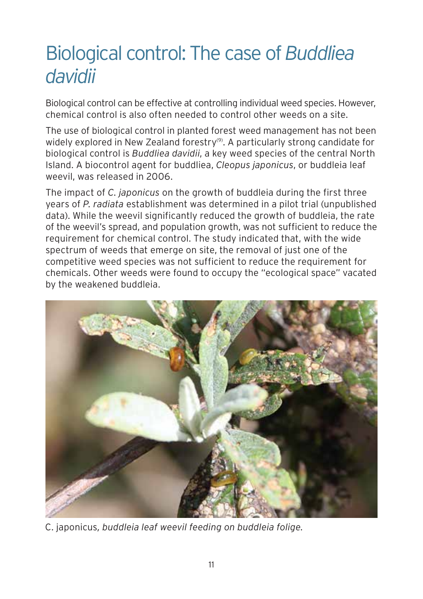### Biological control: The case of *Buddliea davidii*

Biological control can be effective at controlling individual weed species. However, chemical control is also often needed to control other weeds on a site.

The use of biological control in planted forest weed management has not been widely explored in New Zealand forestry<sup>(9)</sup>. A particularly strong candidate for biological control is *Buddliea davidii*, a key weed species of the central North Island. A biocontrol agent for buddliea, *Cleopus japonicus*, or buddleia leaf weevil, was released in 2006.

The impact of *C. japonicus* on the growth of buddleia during the first three years of *P. radiata* establishment was determined in a pilot trial (unpublished data). While the weevil significantly reduced the growth of buddleia, the rate of the weevil's spread, and population growth, was not sufficient to reduce the requirement for chemical control. The study indicated that, with the wide spectrum of weeds that emerge on site, the removal of just one of the competitive weed species was not sufficient to reduce the requirement for chemicals. Other weeds were found to occupy the "ecological space" vacated by the weakened buddleia.



C. japonicus*, buddleia leaf weevil feeding on buddleia folige.*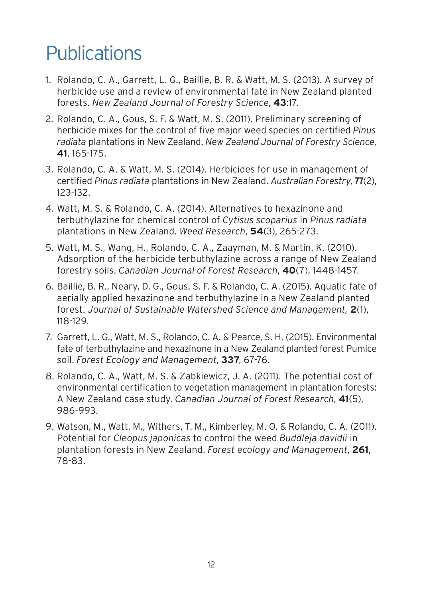## **Publications**

- 1. Rolando, C. A., Garrett, L. G., Baillie, B. R. & Watt, M. S. (2013). A survey of herbicide use and a review of environmental fate in New Zealand planted forests. *New Zealand Journal of Forestry Science*, **43**:17.
- 2. Rolando, C. A., Gous, S. F. & Watt, M. S. (2011). Preliminary screening of herbicide mixes for the control of five major weed species on certified *Pinus radiata* plantations in New Zealand. *New Zealand Journal of Forestry Science*,  **41**, 165-175.
- 3. Rolando, C. A. & Watt, M. S. (2014). Herbicides for use in management of certified *Pinus radiata* plantations in New Zealand. *Australian Forestry*, **77**(2), 123-132.
- 4. Watt, M. S. & Rolando, C. A. (2014). Alternatives to hexazinone and terbuthylazine for chemical control of *Cytisus scoparius* in *Pinus radiata* plantations in New Zealand. *Weed Research*, **54**(3), 265-273.
- 5. Watt, M. S., Wang, H., Rolando, C. A., Zaayman, M. & Martin, K. (2010). Adsorption of the herbicide terbuthylazine across a range of New Zealand forestry soils. *Canadian Journal of Forest Research*, **40**(7), 1448-1457.
- 6. Baillie, B. R., Neary, D. G., Gous, S. F. & Rolando, C. A. (2015). Aquatic fate of aerially applied hexazinone and terbuthylazine in a New Zealand planted forest. *Journal of Sustainable Watershed Science and Management,* **2**(1), 118-129.
- 7. Garrett, L. G., Watt, M. S., Rolando, C. A. & Pearce, S. H. (2015). Environmental fate of terbuthylazine and hexazinone in a New Zealand planted forest Pumice soil. *Forest Ecology and Management*, **337**, 67-76.
- 8. Rolando, C. A., Watt, M. S. & Zabkiewicz, J. A. (2011). The potential cost of environmental certification to vegetation management in plantation forests: A New Zealand case study. *Canadian Journal of Forest Research*, **41**(5), 986-993.
- 9. Watson, M., Watt, M., Withers, T. M., Kimberley, M. O. & Rolando, C. A. (2011). Potential for *Cleopus japonicas* to control the weed *Buddleja davidii* in plantation forests in New Zealand. *Forest ecology and Management*, **261**, 78-83.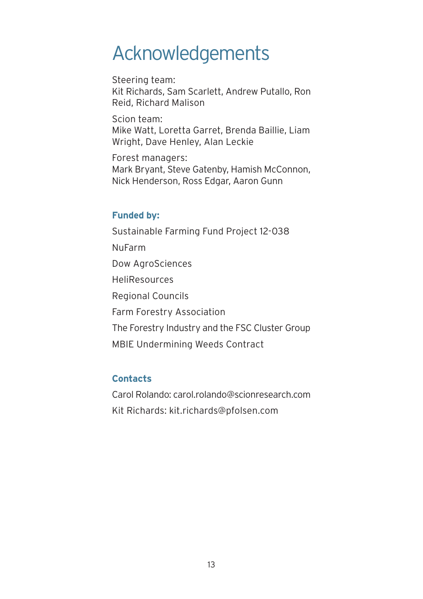### Acknowledgements

Steering team: Kit Richards, Sam Scarlett, Andrew Putallo, Ron Reid, Richard Malison

Scion team: Mike Watt, Loretta Garret, Brenda Baillie, Liam Wright, Dave Henley, Alan Leckie

Forest managers: Mark Bryant, Steve Gatenby, Hamish McConnon, Nick Henderson, Ross Edgar, Aaron Gunn

#### **Funded by:**

Sustainable Farming Fund Project 12-038 NuFarm Dow AgroSciences HeliResources Regional Councils Farm Forestry Association The Forestry Industry and the FSC Cluster Group MBIE Undermining Weeds Contract

### **Contacts**

Carol Rolando: carol.rolando@scionresearch.com Kit Richards: kit.richards@pfolsen.com